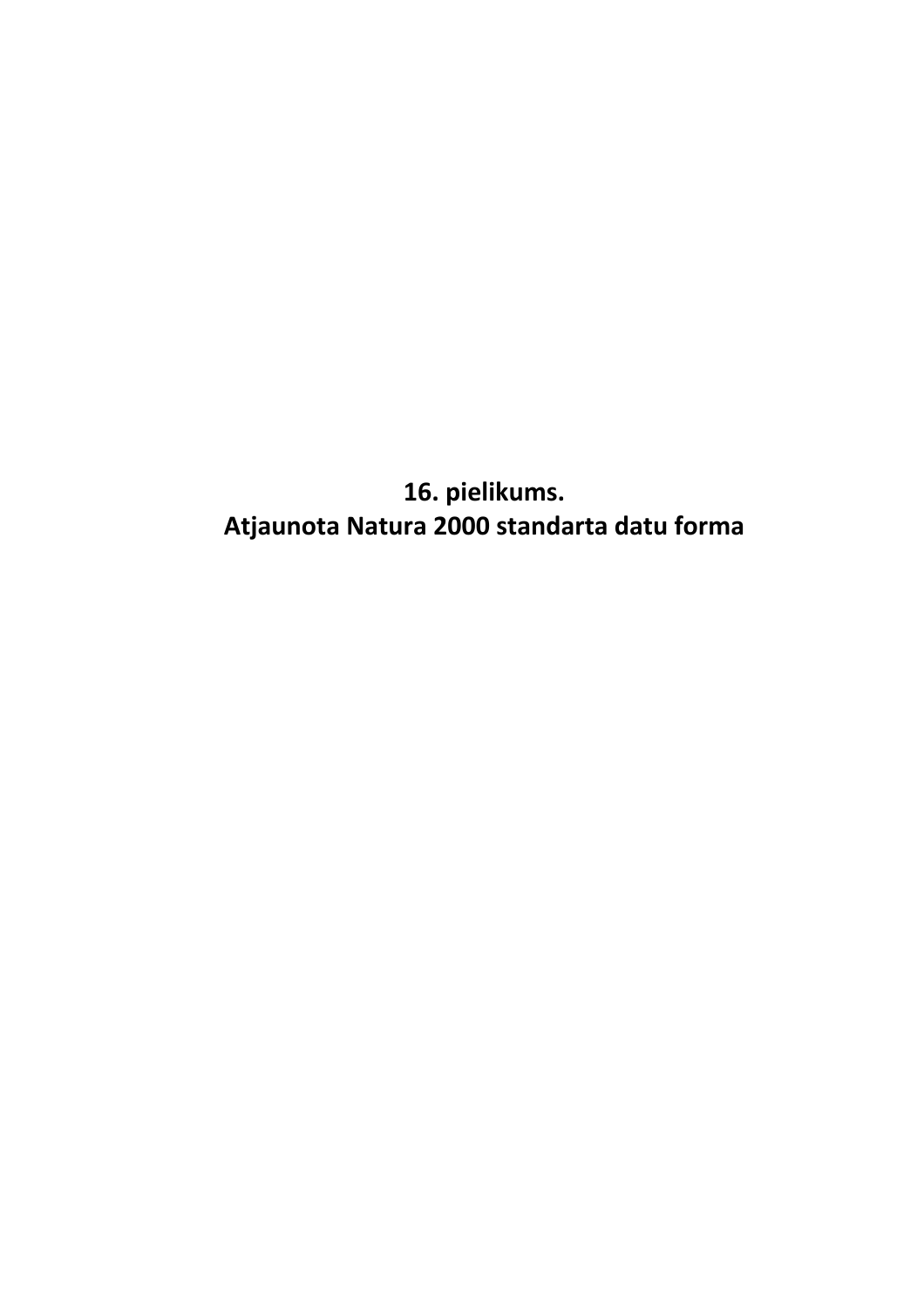**16. pielikums. Atjaunota Natura 2000 standarta datu forma**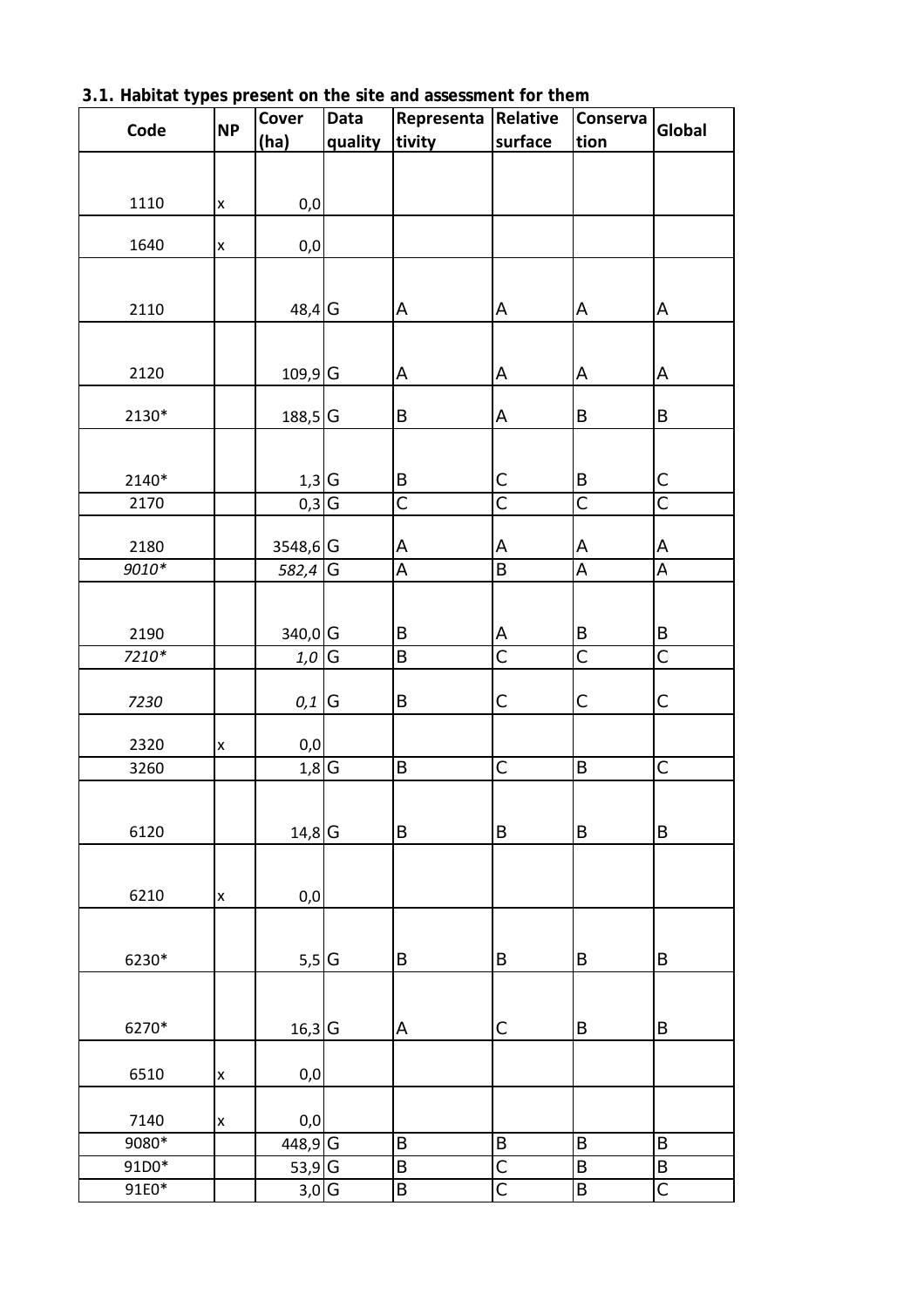| Code            | <b>NP</b> | Cover                            | Data    | Representa              | Relative                | Conserva                | Global                |  |
|-----------------|-----------|----------------------------------|---------|-------------------------|-------------------------|-------------------------|-----------------------|--|
|                 |           | (ha)                             | quality | tivity                  | surface                 | tion                    |                       |  |
|                 |           |                                  |         |                         |                         |                         |                       |  |
| 1110            | X         | $0,0$                            |         |                         |                         |                         |                       |  |
|                 |           |                                  |         |                         |                         |                         |                       |  |
| 1640            | X         | 0,0                              |         |                         |                         |                         |                       |  |
|                 |           |                                  |         |                         |                         |                         |                       |  |
| 2110            |           | 48,4 G                           |         | Α                       | А                       | A                       | А                     |  |
|                 |           |                                  |         |                         |                         |                         |                       |  |
| 2120            |           | 109,9 <sup>G</sup>               |         | А                       | А                       | A                       | А                     |  |
|                 |           |                                  |         |                         |                         |                         |                       |  |
| 2130*           |           | 188,5 <sup>G</sup>               |         | B                       | А                       | $\sf B$                 | B                     |  |
|                 |           |                                  |         |                         |                         |                         |                       |  |
| 2140*           |           | $1,3$ <sup>G</sup>               |         | B                       | С                       | B                       | C                     |  |
| 2170            |           | $0,3 \overline{G}$               |         | $\overline{\mathsf{C}}$ | $\overline{\mathsf{C}}$ | $\overline{\mathsf{C}}$ | $\overline{\text{c}}$ |  |
|                 |           |                                  |         |                         |                         |                         |                       |  |
| 2180<br>$9010*$ |           | 3548,6 G<br>582,4 $\overline{G}$ |         | А<br>A                  | A<br>B                  | A<br>A                  | A<br>A                |  |
|                 |           |                                  |         |                         |                         |                         |                       |  |
|                 |           |                                  |         |                         |                         |                         |                       |  |
| 2190            |           | 340,0 G                          |         | B                       | А                       | $\sf B$                 | $\sf B$               |  |
| $7210*$         |           | 1,0                              | G       | B                       | $\overline{\mathsf{C}}$ | $\overline{\mathsf{C}}$ | $\overline{\text{C}}$ |  |
| 7230            |           | 0,1                              | G       | Β                       | C                       | $\mathsf C$             | C                     |  |
|                 |           |                                  |         |                         |                         |                         |                       |  |
| 2320            | X         | 0,0                              |         |                         |                         |                         |                       |  |
| 3260            |           | $1,8$ <sup>G</sup>               |         | B                       | C                       | B                       | $\overline{C}$        |  |
|                 |           |                                  |         |                         |                         |                         |                       |  |
| 6120            |           | $14,8$ G                         |         | B                       | B                       | B                       | B                     |  |
|                 |           |                                  |         |                         |                         |                         |                       |  |
| 6210            | X         | 0,0                              |         |                         |                         |                         |                       |  |
|                 |           |                                  |         |                         |                         |                         |                       |  |
|                 |           |                                  |         |                         |                         |                         |                       |  |
| 6230*           |           | $5,5$ G                          |         | B                       | B                       | B                       | B                     |  |
|                 |           |                                  |         |                         |                         |                         |                       |  |
| 6270*           |           | $16,3$ G                         |         | А                       | C                       | $\sf B$                 | B                     |  |
|                 |           |                                  |         |                         |                         |                         |                       |  |
| 6510            | X         | $_{\rm 0,0}$                     |         |                         |                         |                         |                       |  |
| 7140            |           | 0,0                              |         |                         |                         |                         |                       |  |
| 9080*           | X         | 448,9                            | G       | B                       | $\sf B$                 | B                       | B                     |  |
| 91D0*           |           | $53,9$ G                         |         | B                       | C                       | B                       | B                     |  |
| 91E0*           |           | 3,0                              | G       | B                       | C                       | $\sf B$                 | $\mathsf C$           |  |

**3.1. Habitat types present on the site and assessment for them**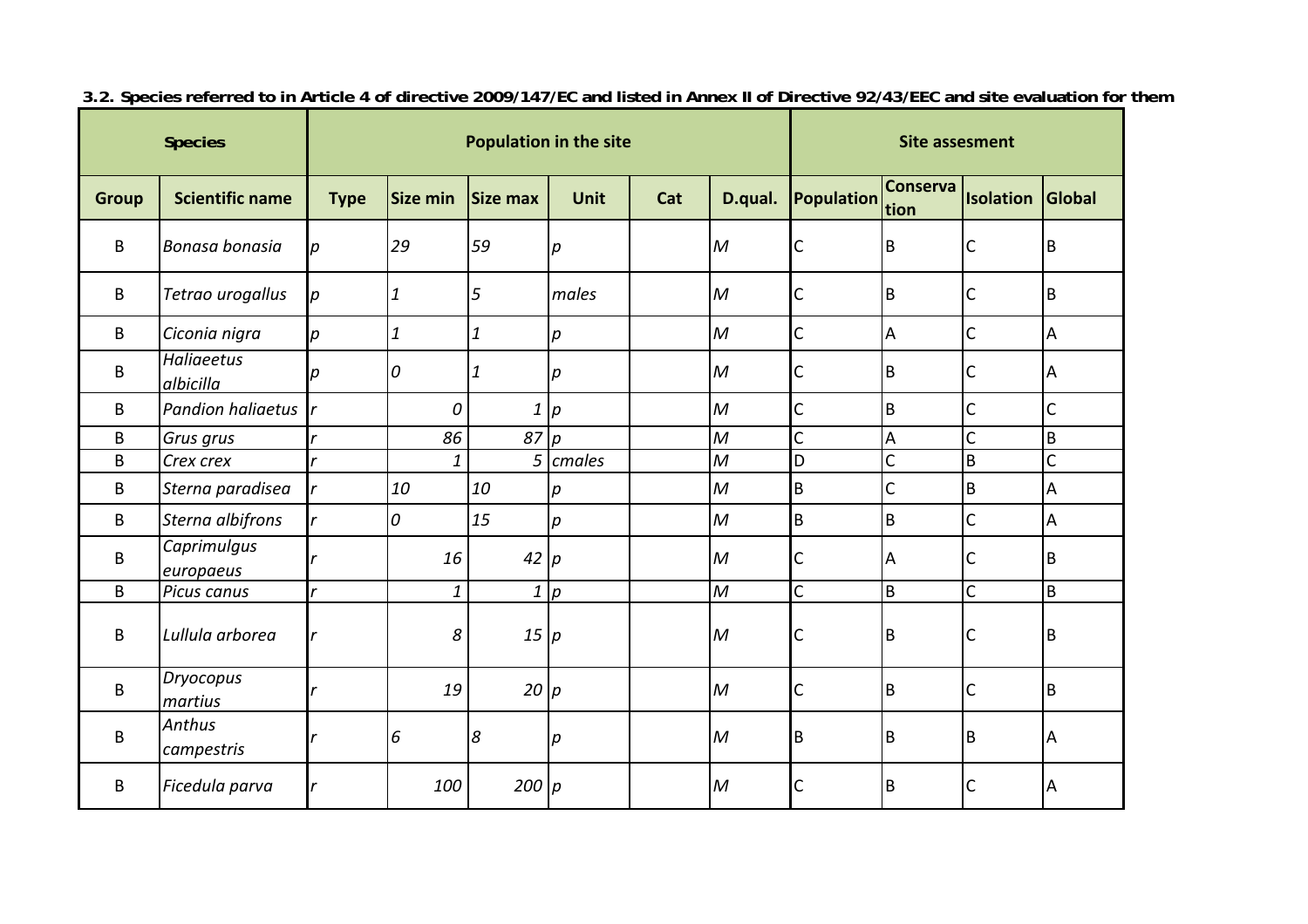|              | <b>Species</b>                 |             |                  |                 | <b>Population in the site</b> | <b>Site assesment</b> |                  |                   |                         |                |                |
|--------------|--------------------------------|-------------|------------------|-----------------|-------------------------------|-----------------------|------------------|-------------------|-------------------------|----------------|----------------|
| <b>Group</b> | <b>Scientific name</b>         | <b>Type</b> | Size min         | <b>Size max</b> | <b>Unit</b>                   | Cat                   | D.qual.          | <b>Population</b> | <b>Conserva</b><br>tion | Isolation      | Global         |
| B            | Bonasa bonasia                 | р           | 29               | 59              | $\boldsymbol{p}$              |                       | M                | C                 | $\mathsf B$             | С              | B              |
| B            | Tetrao urogallus               | р           | $\boldsymbol{1}$ | 5               | males                         |                       | M                | C                 | B                       | C              | B              |
| B            | Ciconia nigra                  | р           | 1                | 1               | $\boldsymbol{p}$              |                       | $\mathcal M$     | C                 | A                       | C              | А              |
| B            | <b>Haliaeetus</b><br>albicilla | n           | $\overline{0}$   | 1               | $\boldsymbol{p}$              |                       | $\overline{M}$   | C                 | B                       | C              | Α              |
| B            | <b>Pandion haliaetus</b>       |             | 0                | $\mathbf{1}$    | $\overline{p}$                |                       | $\overline{M}$   | $\overline{C}$    | $\mathsf B$             | $\overline{C}$ | $\mathsf{C}$   |
| B            | Grus grus                      |             | 86               | 87              | $\overline{p}$                |                       | $\overline{M}$   | $\overline{C}$    | A                       | $\overline{C}$ | $\overline{B}$ |
| B            | Crex crex                      |             | $\mathbf{1}$     |                 | $5$ cmales                    |                       | $\mathcal M$     | D                 | C                       | $\overline{B}$ | $\mathsf{C}$   |
| B            | Sterna paradisea               |             | 10               | 10              | $\boldsymbol{p}$              |                       | $\cal M$         | B                 | $\mathsf{C}$            | B              | A              |
| B            | Sterna albifrons               |             | $\overline{0}$   | 15              | $\boldsymbol{p}$              |                       | $\mathcal M$     | $\sf B$           | $\mathsf B$             | C              | A              |
| B            | Caprimulgus<br>europaeus       |             | 16               | 42 p            |                               |                       | $\overline{M}$   | C                 | A                       | C              | B              |
| B            | Picus canus                    | r           | 1                |                 | 1 p                           |                       | $\boldsymbol{M}$ | Ċ                 | $\mathsf B$             | Ċ              | B              |
| B            | Lullula arborea                |             | 8                | 15              | p                             |                       | $\mathcal M$     | C                 | $\mathsf B$             | C              | B              |
| B            | Dryocopus<br>martius           |             | 19               | $20$ p          |                               |                       | $\overline{M}$   | C                 | $\mathsf B$             | $\mathsf{C}$   | B              |
| B            | Anthus<br>campestris           |             | 6                | 8               | р                             |                       | M                | B                 | B                       | B              | Α              |
| B            | Ficedula parva                 |             | 100              | $200$ $p$       |                               |                       | M                | C                 | B                       | C              | Α              |

**3.2. Species referred to in Article 4 of directive 2009/147/EC and listed in Annex II of Directive 92/43/EEC and site evaluation for them**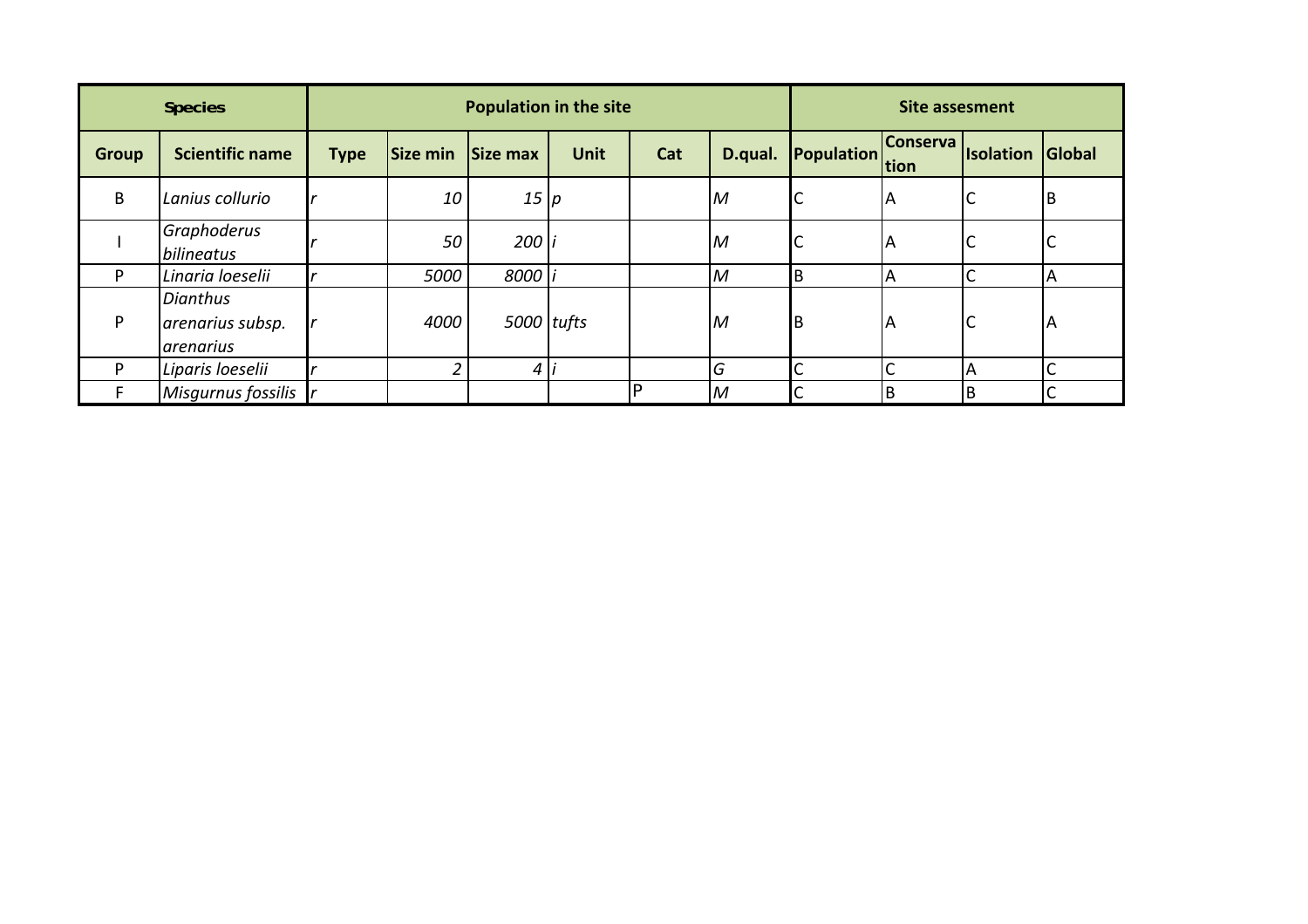|              | <b>Species</b>                                   |             |          | <b>Population in the site</b> |             | <b>Site assesment</b> |                |                 |                 |                         |    |
|--------------|--------------------------------------------------|-------------|----------|-------------------------------|-------------|-----------------------|----------------|-----------------|-----------------|-------------------------|----|
| <b>Group</b> | <b>Scientific name</b>                           | <b>Type</b> | Size min | Size max                      | <b>Unit</b> | Cat                   | D.qual.        | Population tion | <b>Conserva</b> | <b>Isolation Global</b> |    |
| B            | Lanius collurio                                  |             | 10       | 15 p                          |             |                       | $\overline{M}$ | J               | A               |                         | IB |
|              | Graphoderus<br>bilineatus                        |             | 50       | 200                           |             |                       | M              | C               | ΙA              | ╰                       | ◡  |
| Þ            | Linaria loeselii                                 |             | 5000     | 8000                          |             |                       | M              | IΒ              | A               |                         | A  |
| P            | <b>Dianthus</b><br>arenarius subsp.<br>arenarius |             | 4000     | 5000 tufts                    |             |                       | M              | B               | ΙA              | J                       | ΙA |
| D            | Liparis loeselii                                 |             |          | 4                             |             |                       | G              | Ć               |                 | А                       |    |
|              | Misgurnus fossilis                               |             |          |                               |             |                       | M              | Ć               | B               | B                       |    |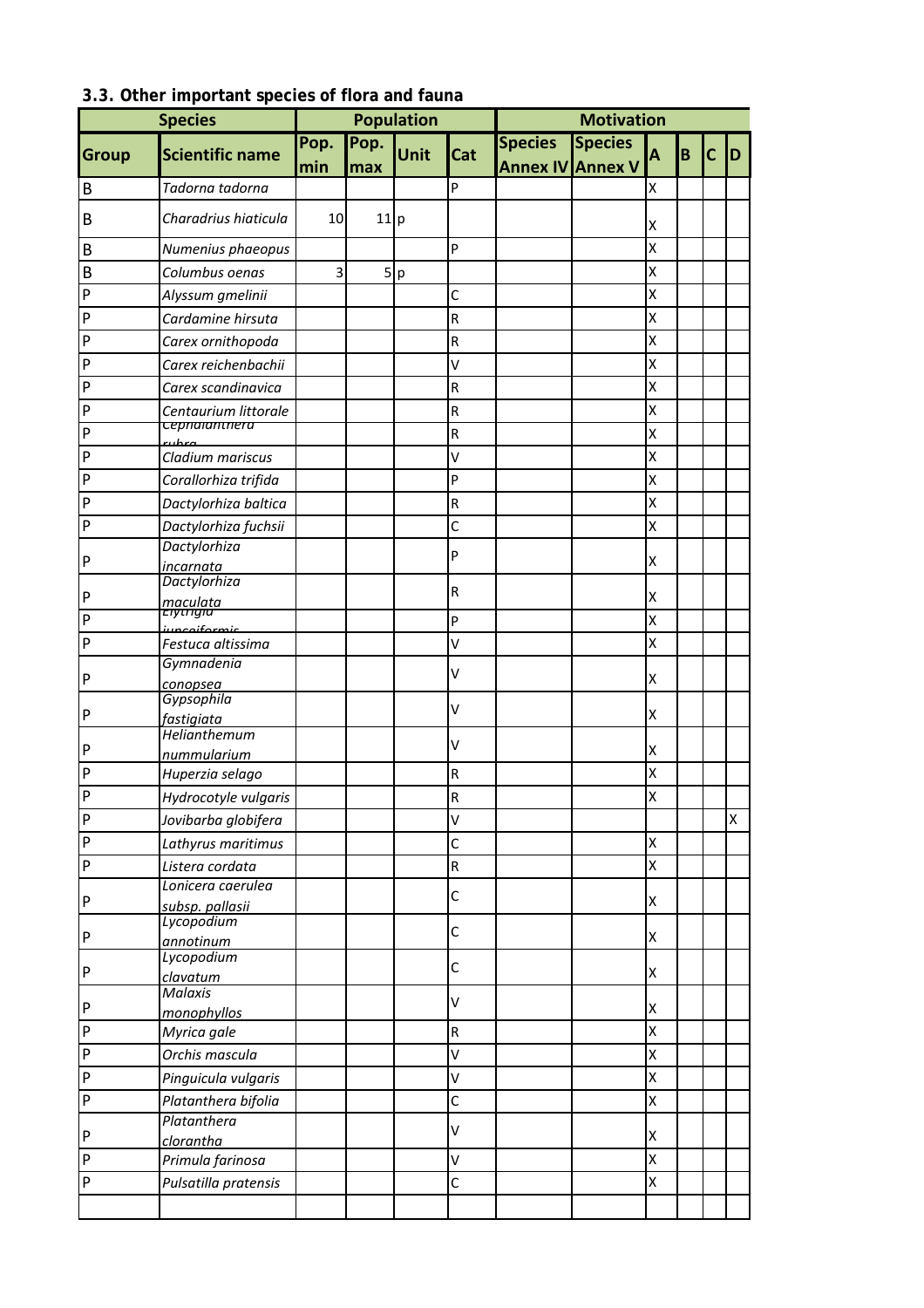|              |                                      |      | <b>Population</b> |             | <b>Motivation</b> |                         |                |                |   |   |   |
|--------------|--------------------------------------|------|-------------------|-------------|-------------------|-------------------------|----------------|----------------|---|---|---|
|              |                                      | Pop. | Pop.              |             |                   | <b>Species</b>          | <b>Species</b> |                |   |   |   |
| Group        | <b>Scientific name</b>               | min  | max               | <b>Unit</b> | Cat               | <b>Annex IV Annex V</b> |                | A              | B | C | D |
| B            | Tadorna tadorna                      |      |                   |             | P                 |                         |                | X              |   |   |   |
| B            | Charadrius hiaticula                 | 10   | 11 p              |             |                   |                         |                | X              |   |   |   |
| B            | Numenius phaeopus                    |      |                   |             | P                 |                         |                | X              |   |   |   |
| B            | Columbus oenas                       | 3    |                   | 5 p         |                   |                         |                | X              |   |   |   |
| $\mathsf{P}$ | Alyssum gmelinii                     |      |                   |             | C                 |                         |                | X              |   |   |   |
| $\sf P$      | Cardamine hirsuta                    |      |                   |             | R                 |                         |                | X              |   |   |   |
| $\mathsf{P}$ | Carex ornithopoda                    |      |                   |             | R                 |                         |                | $\mathsf{x}$   |   |   |   |
| $\mathsf{P}$ | Carex reichenbachii                  |      |                   |             | V                 |                         |                | X              |   |   |   |
| $\mathsf{P}$ | Carex scandinavica                   |      |                   |             | $\sf R$           |                         |                | X              |   |   |   |
| $\mathsf{P}$ | Centaurium littorale                 |      |                   |             | R                 |                         |                | X              |   |   |   |
| $\mathsf{P}$ | cepnaianthera                        |      |                   |             | R                 |                         |                | X              |   |   |   |
| $\mathsf{P}$ | ruhra<br>Cladium mariscus            |      |                   |             | V                 |                         |                | X              |   |   |   |
| $\mathsf{P}$ |                                      |      |                   |             | P                 |                         |                | X              |   |   |   |
| $\mathsf{P}$ | Corallorhiza trifida                 |      |                   |             |                   |                         |                | X              |   |   |   |
|              | Dactylorhiza baltica                 |      |                   |             | R                 |                         |                |                |   |   |   |
| $\mathsf P$  | Dactylorhiza fuchsii<br>Dactylorhiza |      |                   |             | $\mathsf{C}$      |                         |                | X              |   |   |   |
| $\mathsf{P}$ | <i>incarnata</i>                     |      |                   |             | P                 |                         |                | X              |   |   |   |
|              | Dactylorhiza                         |      |                   |             | R                 |                         |                |                |   |   |   |
| $\mathsf P$  | maculata<br>Elytrigia                |      |                   |             |                   |                         |                | X              |   |   |   |
| $\mathsf{P}$ | iuncoiformic                         |      |                   |             | P                 |                         |                | $\mathsf{x}$   |   |   |   |
| $\mathsf{P}$ | Festuca altissima                    |      |                   |             | V                 |                         |                | X              |   |   |   |
| $\mathsf P$  | Gymnadenia<br>conopsea               |      |                   |             | V                 |                         |                | X              |   |   |   |
|              | Gypsophila                           |      |                   |             |                   |                         |                |                |   |   |   |
| $\mathsf P$  | fastigiata                           |      |                   |             | V                 |                         |                | X              |   |   |   |
| ΙP           | Helianthemum                         |      |                   |             | ٧                 |                         |                | X              |   |   |   |
| $\sf P$      | nummularium                          |      |                   |             | $\sf R$           |                         |                | X              |   |   |   |
| P            | Huperzia selago                      |      |                   |             |                   |                         |                | $\pmb{\times}$ |   |   |   |
| P            | Hydrocotyle vulgaris                 |      |                   |             | $\mathsf R$       |                         |                |                |   |   |   |
|              | Jovibarba globifera                  |      |                   |             | V                 |                         |                |                |   |   | X |
| $\mathsf{P}$ | Lathyrus maritimus                   |      |                   |             | C                 |                         |                | X              |   |   |   |
| $\mathsf{P}$ | Listera cordata                      |      |                   |             | R                 |                         |                | X              |   |   |   |
| P            | Lonicera caerulea<br>subsp. pallasii |      |                   |             | C                 |                         |                | X              |   |   |   |
|              | Lycopodium                           |      |                   |             |                   |                         |                |                |   |   |   |
| $\mathsf P$  | annotinum                            |      |                   |             | C                 |                         |                | X              |   |   |   |
| P            | Lycopodium                           |      |                   |             | C                 |                         |                | X              |   |   |   |
|              | clavatum<br>Malaxis                  |      |                   |             |                   |                         |                |                |   |   |   |
| $\mathsf{P}$ | monophyllos                          |      |                   |             | V                 |                         |                | X              |   |   |   |
| $\mathsf P$  | Myrica gale                          |      |                   |             | R                 |                         |                | X              |   |   |   |
| $\sf P$      | Orchis mascula                       |      |                   |             | V                 |                         |                | X              |   |   |   |
| $\mathsf{P}$ | Pinguicula vulgaris                  |      |                   |             | $\checkmark$      |                         |                | $\mathsf{x}$   |   |   |   |
| ${\sf P}$    | Platanthera bifolia                  |      |                   |             | C                 |                         |                | X              |   |   |   |
|              | Platanthera                          |      |                   |             |                   |                         |                |                |   |   |   |
| P            | clorantha                            |      |                   |             | V                 |                         |                | X              |   |   |   |
| $\mathsf{P}$ | Primula farinosa                     |      |                   |             | V                 |                         |                | X              |   |   |   |
| $\mathsf P$  | Pulsatilla pratensis                 |      |                   |             | C                 |                         |                | X              |   |   |   |
|              |                                      |      |                   |             |                   |                         |                |                |   |   |   |

## **3.3. Other important species of flora and fauna**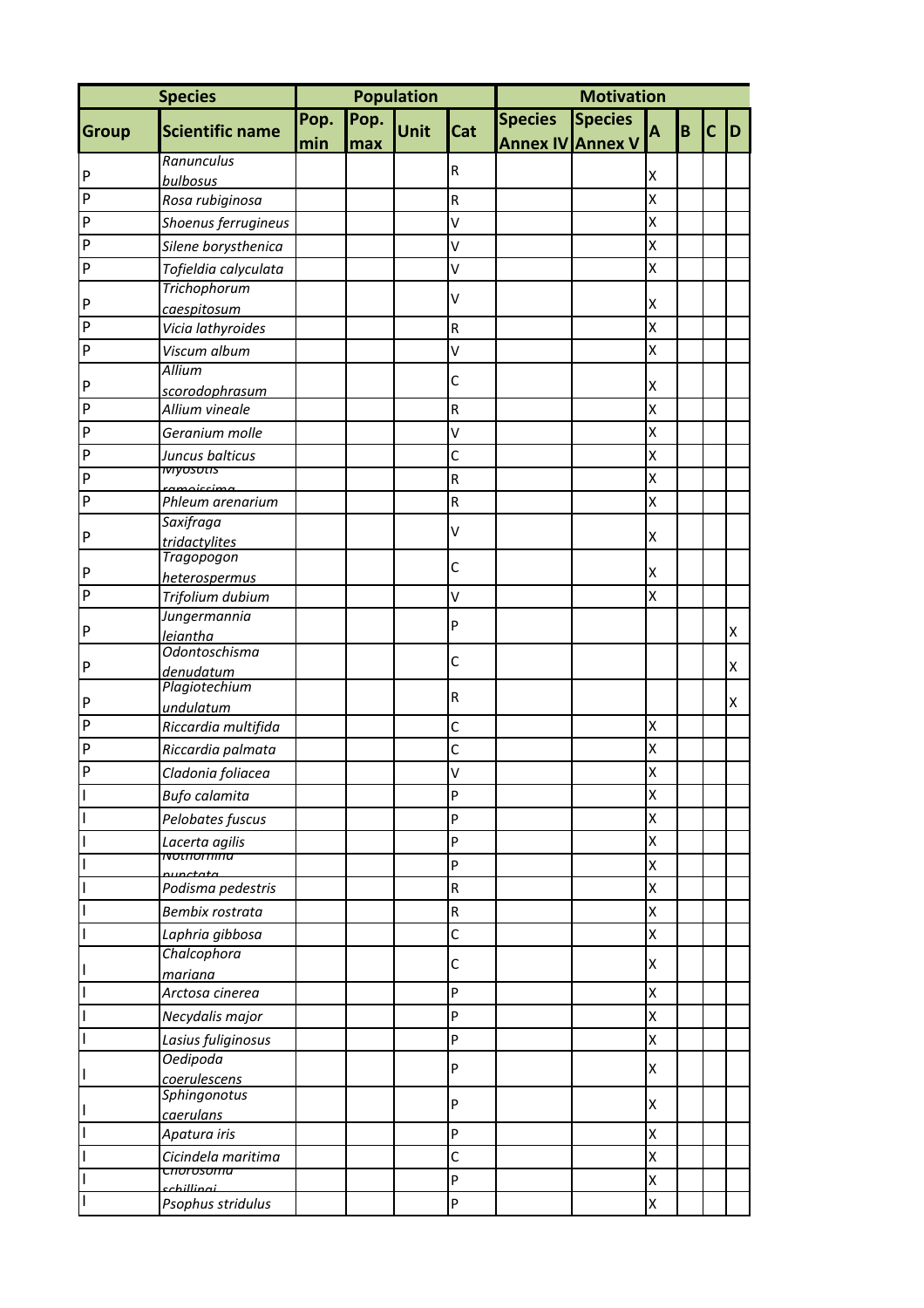| <b>Species</b><br>Pop.<br>Pop.<br><b>Species</b><br><b>Unit</b><br>Cat<br><b>Scientific name</b><br>Group<br>B<br>А<br>С<br>D<br><b>Annex IV Annex V</b><br>min<br>max<br>Ranunculus<br>$\mathsf R$<br>$\sf P$<br>Χ<br>bulbosus<br>${\sf P}$<br>X<br>Rosa rubiginosa<br>${\sf R}$<br>$\mathsf{P}$<br>X<br>V<br>Shoenus ferrugineus<br>$\mathsf{P}$<br>X<br>V<br>Silene borysthenica<br>X<br>P<br>Tofieldia calyculata<br>V<br>Trichophorum<br>V<br>P<br>Χ<br>caespitosum<br>X<br>P<br>Vicia lathyroides<br>R<br>${\sf P}$<br>X<br>Viscum album<br>V<br><b>Allium</b><br>C<br>P<br>Χ<br>scorodophrasum<br>X<br>P<br>Allium vineale<br>${\sf R}$<br>X<br>$\mathsf{P}$<br>Geranium molle<br>V<br>X<br>$\mathsf{P}$<br>$\mathsf{C}$<br>Juncus balticus<br><u>iviyosotis</u><br>${\sf P}$<br>X<br>${\sf R}$<br>ramoiccima<br>${\sf P}$<br>X<br>${\sf R}$<br>Phleum arenarium<br>Saxifraga<br>V<br>P<br>Χ<br>tridactylites<br>Tragopogon<br>C<br>P<br>Χ<br>heterospermus<br>$\mathsf{P}$<br>X<br>V<br>Trifolium dubium<br>Jungermannia<br>P<br>P<br>Χ<br><i>leiantha</i><br><b>Odontoschisma</b><br>$\mathsf{C}$<br>P<br>X<br>denudatum<br>Plagiotechium<br>${\sf R}$<br>P<br>X<br>undulatum<br>$\mathsf{P}$<br>$\mathsf{C}$<br>X<br>Riccardia multifida<br>P<br>C<br>X<br>Riccardia palmata<br>$\mathsf{P}$<br>X<br>V<br>Cladonia foliacea<br>P<br>X<br>Bufo calamita<br>P<br>X<br>Pelobates fuscus<br>ı<br>P<br>Χ<br>Lacerta agilis<br><u> Nothornma</u><br>P<br>X<br>ı<br>nunctata<br>$\sf R$<br>X<br>T<br>Podisma pedestris<br>Bembix rostrata<br>${\sf R}$<br>X<br>I<br>C<br>I<br>Laphria gibbosa<br>Χ<br>Chalcophora<br>C<br>Χ<br>I<br>mariana<br>P<br>X<br>Arctosa cinerea<br>P<br>X<br>Necydalis major<br>Lasius fuliginosus<br>P<br>Χ<br><b>Oedipoda</b><br>P<br>Χ<br>I<br>coerulescens<br>Sphingonotus<br>P<br>Χ<br>I<br>caerulans<br>P<br>Apatura iris<br>X<br>C<br>X<br>Cicindela maritima<br>cnorosomu<br>P<br>X<br>cchillingi<br>P<br>X<br>Psophus stridulus |  |  | Population | <b>Motivation</b> |  |  |  |  |  |  |
|----------------------------------------------------------------------------------------------------------------------------------------------------------------------------------------------------------------------------------------------------------------------------------------------------------------------------------------------------------------------------------------------------------------------------------------------------------------------------------------------------------------------------------------------------------------------------------------------------------------------------------------------------------------------------------------------------------------------------------------------------------------------------------------------------------------------------------------------------------------------------------------------------------------------------------------------------------------------------------------------------------------------------------------------------------------------------------------------------------------------------------------------------------------------------------------------------------------------------------------------------------------------------------------------------------------------------------------------------------------------------------------------------------------------------------------------------------------------------------------------------------------------------------------------------------------------------------------------------------------------------------------------------------------------------------------------------------------------------------------------------------------------------------------------------------------------------------------------------------------------------------------------------------------------------------------------------------------------|--|--|------------|-------------------|--|--|--|--|--|--|
|                                                                                                                                                                                                                                                                                                                                                                                                                                                                                                                                                                                                                                                                                                                                                                                                                                                                                                                                                                                                                                                                                                                                                                                                                                                                                                                                                                                                                                                                                                                                                                                                                                                                                                                                                                                                                                                                                                                                                                      |  |  |            |                   |  |  |  |  |  |  |
|                                                                                                                                                                                                                                                                                                                                                                                                                                                                                                                                                                                                                                                                                                                                                                                                                                                                                                                                                                                                                                                                                                                                                                                                                                                                                                                                                                                                                                                                                                                                                                                                                                                                                                                                                                                                                                                                                                                                                                      |  |  |            |                   |  |  |  |  |  |  |
|                                                                                                                                                                                                                                                                                                                                                                                                                                                                                                                                                                                                                                                                                                                                                                                                                                                                                                                                                                                                                                                                                                                                                                                                                                                                                                                                                                                                                                                                                                                                                                                                                                                                                                                                                                                                                                                                                                                                                                      |  |  |            |                   |  |  |  |  |  |  |
|                                                                                                                                                                                                                                                                                                                                                                                                                                                                                                                                                                                                                                                                                                                                                                                                                                                                                                                                                                                                                                                                                                                                                                                                                                                                                                                                                                                                                                                                                                                                                                                                                                                                                                                                                                                                                                                                                                                                                                      |  |  |            |                   |  |  |  |  |  |  |
|                                                                                                                                                                                                                                                                                                                                                                                                                                                                                                                                                                                                                                                                                                                                                                                                                                                                                                                                                                                                                                                                                                                                                                                                                                                                                                                                                                                                                                                                                                                                                                                                                                                                                                                                                                                                                                                                                                                                                                      |  |  |            |                   |  |  |  |  |  |  |
|                                                                                                                                                                                                                                                                                                                                                                                                                                                                                                                                                                                                                                                                                                                                                                                                                                                                                                                                                                                                                                                                                                                                                                                                                                                                                                                                                                                                                                                                                                                                                                                                                                                                                                                                                                                                                                                                                                                                                                      |  |  |            |                   |  |  |  |  |  |  |
|                                                                                                                                                                                                                                                                                                                                                                                                                                                                                                                                                                                                                                                                                                                                                                                                                                                                                                                                                                                                                                                                                                                                                                                                                                                                                                                                                                                                                                                                                                                                                                                                                                                                                                                                                                                                                                                                                                                                                                      |  |  |            |                   |  |  |  |  |  |  |
|                                                                                                                                                                                                                                                                                                                                                                                                                                                                                                                                                                                                                                                                                                                                                                                                                                                                                                                                                                                                                                                                                                                                                                                                                                                                                                                                                                                                                                                                                                                                                                                                                                                                                                                                                                                                                                                                                                                                                                      |  |  |            |                   |  |  |  |  |  |  |
|                                                                                                                                                                                                                                                                                                                                                                                                                                                                                                                                                                                                                                                                                                                                                                                                                                                                                                                                                                                                                                                                                                                                                                                                                                                                                                                                                                                                                                                                                                                                                                                                                                                                                                                                                                                                                                                                                                                                                                      |  |  |            |                   |  |  |  |  |  |  |
|                                                                                                                                                                                                                                                                                                                                                                                                                                                                                                                                                                                                                                                                                                                                                                                                                                                                                                                                                                                                                                                                                                                                                                                                                                                                                                                                                                                                                                                                                                                                                                                                                                                                                                                                                                                                                                                                                                                                                                      |  |  |            |                   |  |  |  |  |  |  |
|                                                                                                                                                                                                                                                                                                                                                                                                                                                                                                                                                                                                                                                                                                                                                                                                                                                                                                                                                                                                                                                                                                                                                                                                                                                                                                                                                                                                                                                                                                                                                                                                                                                                                                                                                                                                                                                                                                                                                                      |  |  |            |                   |  |  |  |  |  |  |
|                                                                                                                                                                                                                                                                                                                                                                                                                                                                                                                                                                                                                                                                                                                                                                                                                                                                                                                                                                                                                                                                                                                                                                                                                                                                                                                                                                                                                                                                                                                                                                                                                                                                                                                                                                                                                                                                                                                                                                      |  |  |            |                   |  |  |  |  |  |  |
|                                                                                                                                                                                                                                                                                                                                                                                                                                                                                                                                                                                                                                                                                                                                                                                                                                                                                                                                                                                                                                                                                                                                                                                                                                                                                                                                                                                                                                                                                                                                                                                                                                                                                                                                                                                                                                                                                                                                                                      |  |  |            |                   |  |  |  |  |  |  |
|                                                                                                                                                                                                                                                                                                                                                                                                                                                                                                                                                                                                                                                                                                                                                                                                                                                                                                                                                                                                                                                                                                                                                                                                                                                                                                                                                                                                                                                                                                                                                                                                                                                                                                                                                                                                                                                                                                                                                                      |  |  |            |                   |  |  |  |  |  |  |
|                                                                                                                                                                                                                                                                                                                                                                                                                                                                                                                                                                                                                                                                                                                                                                                                                                                                                                                                                                                                                                                                                                                                                                                                                                                                                                                                                                                                                                                                                                                                                                                                                                                                                                                                                                                                                                                                                                                                                                      |  |  |            |                   |  |  |  |  |  |  |
|                                                                                                                                                                                                                                                                                                                                                                                                                                                                                                                                                                                                                                                                                                                                                                                                                                                                                                                                                                                                                                                                                                                                                                                                                                                                                                                                                                                                                                                                                                                                                                                                                                                                                                                                                                                                                                                                                                                                                                      |  |  |            |                   |  |  |  |  |  |  |
|                                                                                                                                                                                                                                                                                                                                                                                                                                                                                                                                                                                                                                                                                                                                                                                                                                                                                                                                                                                                                                                                                                                                                                                                                                                                                                                                                                                                                                                                                                                                                                                                                                                                                                                                                                                                                                                                                                                                                                      |  |  |            |                   |  |  |  |  |  |  |
|                                                                                                                                                                                                                                                                                                                                                                                                                                                                                                                                                                                                                                                                                                                                                                                                                                                                                                                                                                                                                                                                                                                                                                                                                                                                                                                                                                                                                                                                                                                                                                                                                                                                                                                                                                                                                                                                                                                                                                      |  |  |            |                   |  |  |  |  |  |  |
|                                                                                                                                                                                                                                                                                                                                                                                                                                                                                                                                                                                                                                                                                                                                                                                                                                                                                                                                                                                                                                                                                                                                                                                                                                                                                                                                                                                                                                                                                                                                                                                                                                                                                                                                                                                                                                                                                                                                                                      |  |  |            |                   |  |  |  |  |  |  |
|                                                                                                                                                                                                                                                                                                                                                                                                                                                                                                                                                                                                                                                                                                                                                                                                                                                                                                                                                                                                                                                                                                                                                                                                                                                                                                                                                                                                                                                                                                                                                                                                                                                                                                                                                                                                                                                                                                                                                                      |  |  |            |                   |  |  |  |  |  |  |
|                                                                                                                                                                                                                                                                                                                                                                                                                                                                                                                                                                                                                                                                                                                                                                                                                                                                                                                                                                                                                                                                                                                                                                                                                                                                                                                                                                                                                                                                                                                                                                                                                                                                                                                                                                                                                                                                                                                                                                      |  |  |            |                   |  |  |  |  |  |  |
|                                                                                                                                                                                                                                                                                                                                                                                                                                                                                                                                                                                                                                                                                                                                                                                                                                                                                                                                                                                                                                                                                                                                                                                                                                                                                                                                                                                                                                                                                                                                                                                                                                                                                                                                                                                                                                                                                                                                                                      |  |  |            |                   |  |  |  |  |  |  |
|                                                                                                                                                                                                                                                                                                                                                                                                                                                                                                                                                                                                                                                                                                                                                                                                                                                                                                                                                                                                                                                                                                                                                                                                                                                                                                                                                                                                                                                                                                                                                                                                                                                                                                                                                                                                                                                                                                                                                                      |  |  |            |                   |  |  |  |  |  |  |
|                                                                                                                                                                                                                                                                                                                                                                                                                                                                                                                                                                                                                                                                                                                                                                                                                                                                                                                                                                                                                                                                                                                                                                                                                                                                                                                                                                                                                                                                                                                                                                                                                                                                                                                                                                                                                                                                                                                                                                      |  |  |            |                   |  |  |  |  |  |  |
|                                                                                                                                                                                                                                                                                                                                                                                                                                                                                                                                                                                                                                                                                                                                                                                                                                                                                                                                                                                                                                                                                                                                                                                                                                                                                                                                                                                                                                                                                                                                                                                                                                                                                                                                                                                                                                                                                                                                                                      |  |  |            |                   |  |  |  |  |  |  |
|                                                                                                                                                                                                                                                                                                                                                                                                                                                                                                                                                                                                                                                                                                                                                                                                                                                                                                                                                                                                                                                                                                                                                                                                                                                                                                                                                                                                                                                                                                                                                                                                                                                                                                                                                                                                                                                                                                                                                                      |  |  |            |                   |  |  |  |  |  |  |
|                                                                                                                                                                                                                                                                                                                                                                                                                                                                                                                                                                                                                                                                                                                                                                                                                                                                                                                                                                                                                                                                                                                                                                                                                                                                                                                                                                                                                                                                                                                                                                                                                                                                                                                                                                                                                                                                                                                                                                      |  |  |            |                   |  |  |  |  |  |  |
|                                                                                                                                                                                                                                                                                                                                                                                                                                                                                                                                                                                                                                                                                                                                                                                                                                                                                                                                                                                                                                                                                                                                                                                                                                                                                                                                                                                                                                                                                                                                                                                                                                                                                                                                                                                                                                                                                                                                                                      |  |  |            |                   |  |  |  |  |  |  |
|                                                                                                                                                                                                                                                                                                                                                                                                                                                                                                                                                                                                                                                                                                                                                                                                                                                                                                                                                                                                                                                                                                                                                                                                                                                                                                                                                                                                                                                                                                                                                                                                                                                                                                                                                                                                                                                                                                                                                                      |  |  |            |                   |  |  |  |  |  |  |
|                                                                                                                                                                                                                                                                                                                                                                                                                                                                                                                                                                                                                                                                                                                                                                                                                                                                                                                                                                                                                                                                                                                                                                                                                                                                                                                                                                                                                                                                                                                                                                                                                                                                                                                                                                                                                                                                                                                                                                      |  |  |            |                   |  |  |  |  |  |  |
|                                                                                                                                                                                                                                                                                                                                                                                                                                                                                                                                                                                                                                                                                                                                                                                                                                                                                                                                                                                                                                                                                                                                                                                                                                                                                                                                                                                                                                                                                                                                                                                                                                                                                                                                                                                                                                                                                                                                                                      |  |  |            |                   |  |  |  |  |  |  |
|                                                                                                                                                                                                                                                                                                                                                                                                                                                                                                                                                                                                                                                                                                                                                                                                                                                                                                                                                                                                                                                                                                                                                                                                                                                                                                                                                                                                                                                                                                                                                                                                                                                                                                                                                                                                                                                                                                                                                                      |  |  |            |                   |  |  |  |  |  |  |
|                                                                                                                                                                                                                                                                                                                                                                                                                                                                                                                                                                                                                                                                                                                                                                                                                                                                                                                                                                                                                                                                                                                                                                                                                                                                                                                                                                                                                                                                                                                                                                                                                                                                                                                                                                                                                                                                                                                                                                      |  |  |            |                   |  |  |  |  |  |  |
|                                                                                                                                                                                                                                                                                                                                                                                                                                                                                                                                                                                                                                                                                                                                                                                                                                                                                                                                                                                                                                                                                                                                                                                                                                                                                                                                                                                                                                                                                                                                                                                                                                                                                                                                                                                                                                                                                                                                                                      |  |  |            |                   |  |  |  |  |  |  |
|                                                                                                                                                                                                                                                                                                                                                                                                                                                                                                                                                                                                                                                                                                                                                                                                                                                                                                                                                                                                                                                                                                                                                                                                                                                                                                                                                                                                                                                                                                                                                                                                                                                                                                                                                                                                                                                                                                                                                                      |  |  |            |                   |  |  |  |  |  |  |
|                                                                                                                                                                                                                                                                                                                                                                                                                                                                                                                                                                                                                                                                                                                                                                                                                                                                                                                                                                                                                                                                                                                                                                                                                                                                                                                                                                                                                                                                                                                                                                                                                                                                                                                                                                                                                                                                                                                                                                      |  |  |            |                   |  |  |  |  |  |  |
|                                                                                                                                                                                                                                                                                                                                                                                                                                                                                                                                                                                                                                                                                                                                                                                                                                                                                                                                                                                                                                                                                                                                                                                                                                                                                                                                                                                                                                                                                                                                                                                                                                                                                                                                                                                                                                                                                                                                                                      |  |  |            |                   |  |  |  |  |  |  |
|                                                                                                                                                                                                                                                                                                                                                                                                                                                                                                                                                                                                                                                                                                                                                                                                                                                                                                                                                                                                                                                                                                                                                                                                                                                                                                                                                                                                                                                                                                                                                                                                                                                                                                                                                                                                                                                                                                                                                                      |  |  |            |                   |  |  |  |  |  |  |
|                                                                                                                                                                                                                                                                                                                                                                                                                                                                                                                                                                                                                                                                                                                                                                                                                                                                                                                                                                                                                                                                                                                                                                                                                                                                                                                                                                                                                                                                                                                                                                                                                                                                                                                                                                                                                                                                                                                                                                      |  |  |            |                   |  |  |  |  |  |  |
|                                                                                                                                                                                                                                                                                                                                                                                                                                                                                                                                                                                                                                                                                                                                                                                                                                                                                                                                                                                                                                                                                                                                                                                                                                                                                                                                                                                                                                                                                                                                                                                                                                                                                                                                                                                                                                                                                                                                                                      |  |  |            |                   |  |  |  |  |  |  |
|                                                                                                                                                                                                                                                                                                                                                                                                                                                                                                                                                                                                                                                                                                                                                                                                                                                                                                                                                                                                                                                                                                                                                                                                                                                                                                                                                                                                                                                                                                                                                                                                                                                                                                                                                                                                                                                                                                                                                                      |  |  |            |                   |  |  |  |  |  |  |
|                                                                                                                                                                                                                                                                                                                                                                                                                                                                                                                                                                                                                                                                                                                                                                                                                                                                                                                                                                                                                                                                                                                                                                                                                                                                                                                                                                                                                                                                                                                                                                                                                                                                                                                                                                                                                                                                                                                                                                      |  |  |            |                   |  |  |  |  |  |  |
|                                                                                                                                                                                                                                                                                                                                                                                                                                                                                                                                                                                                                                                                                                                                                                                                                                                                                                                                                                                                                                                                                                                                                                                                                                                                                                                                                                                                                                                                                                                                                                                                                                                                                                                                                                                                                                                                                                                                                                      |  |  |            |                   |  |  |  |  |  |  |
|                                                                                                                                                                                                                                                                                                                                                                                                                                                                                                                                                                                                                                                                                                                                                                                                                                                                                                                                                                                                                                                                                                                                                                                                                                                                                                                                                                                                                                                                                                                                                                                                                                                                                                                                                                                                                                                                                                                                                                      |  |  |            |                   |  |  |  |  |  |  |
|                                                                                                                                                                                                                                                                                                                                                                                                                                                                                                                                                                                                                                                                                                                                                                                                                                                                                                                                                                                                                                                                                                                                                                                                                                                                                                                                                                                                                                                                                                                                                                                                                                                                                                                                                                                                                                                                                                                                                                      |  |  |            |                   |  |  |  |  |  |  |
|                                                                                                                                                                                                                                                                                                                                                                                                                                                                                                                                                                                                                                                                                                                                                                                                                                                                                                                                                                                                                                                                                                                                                                                                                                                                                                                                                                                                                                                                                                                                                                                                                                                                                                                                                                                                                                                                                                                                                                      |  |  |            |                   |  |  |  |  |  |  |
|                                                                                                                                                                                                                                                                                                                                                                                                                                                                                                                                                                                                                                                                                                                                                                                                                                                                                                                                                                                                                                                                                                                                                                                                                                                                                                                                                                                                                                                                                                                                                                                                                                                                                                                                                                                                                                                                                                                                                                      |  |  |            |                   |  |  |  |  |  |  |
|                                                                                                                                                                                                                                                                                                                                                                                                                                                                                                                                                                                                                                                                                                                                                                                                                                                                                                                                                                                                                                                                                                                                                                                                                                                                                                                                                                                                                                                                                                                                                                                                                                                                                                                                                                                                                                                                                                                                                                      |  |  |            |                   |  |  |  |  |  |  |
|                                                                                                                                                                                                                                                                                                                                                                                                                                                                                                                                                                                                                                                                                                                                                                                                                                                                                                                                                                                                                                                                                                                                                                                                                                                                                                                                                                                                                                                                                                                                                                                                                                                                                                                                                                                                                                                                                                                                                                      |  |  |            |                   |  |  |  |  |  |  |
|                                                                                                                                                                                                                                                                                                                                                                                                                                                                                                                                                                                                                                                                                                                                                                                                                                                                                                                                                                                                                                                                                                                                                                                                                                                                                                                                                                                                                                                                                                                                                                                                                                                                                                                                                                                                                                                                                                                                                                      |  |  |            |                   |  |  |  |  |  |  |
|                                                                                                                                                                                                                                                                                                                                                                                                                                                                                                                                                                                                                                                                                                                                                                                                                                                                                                                                                                                                                                                                                                                                                                                                                                                                                                                                                                                                                                                                                                                                                                                                                                                                                                                                                                                                                                                                                                                                                                      |  |  |            |                   |  |  |  |  |  |  |